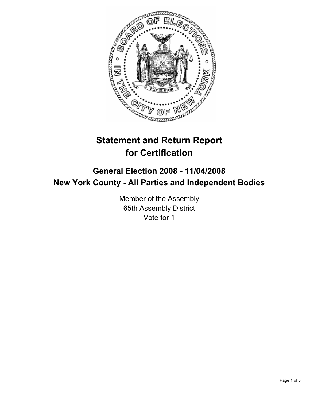

# **Statement and Return Report for Certification**

## **General Election 2008 - 11/04/2008 New York County - All Parties and Independent Bodies**

Member of the Assembly 65th Assembly District Vote for 1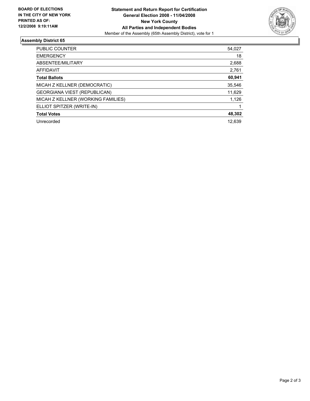

### **Assembly District 65**

| <b>PUBLIC COUNTER</b>              | 54,027 |
|------------------------------------|--------|
| <b>EMERGENCY</b>                   | 18     |
| ABSENTEE/MILITARY                  | 2,688  |
| <b>AFFIDAVIT</b>                   | 2,761  |
| <b>Total Ballots</b>               | 60,941 |
| MICAH Z KELLNER (DEMOCRATIC)       | 35,546 |
| GEORGIANA VIEST (REPUBLICAN)       | 11,629 |
| MICAH Z KELLNER (WORKING FAMILIES) | 1,126  |
| ELLIOT SPITZER (WRITE-IN)          |        |
| <b>Total Votes</b>                 | 48,302 |
| Unrecorded                         | 12,639 |